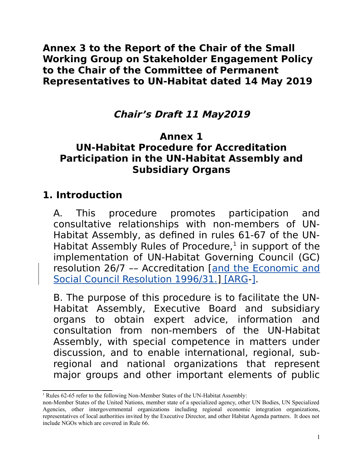**Annex 3 to the Report of the Chair of the Small Working Group on Stakeholder Engagement Policy to the Chair of the Committee of Permanent Representatives to UN-Habitat dated 14 May 2019**

### **Chair's Draft 11 May2019**

### **Annex 1**

#### **UN-Habitat Procedure for Accreditation Participation in the UN-Habitat Assembly and Subsidiary Organs**

### **1. Introduction**

A. This procedure promotes participation and consultative relationships with non-members of UN-Habitat Assembly, as defined in rules 61-67 of the UN-Habitat Assembly Rules of Procedure, $1$  in support of the implementation of UN-Habitat Governing Council (GC) resolution 26/7 –– Accreditation [and the Economic and Social Council Resolution 1996/31.] [ARG-].

B. The purpose of this procedure is to facilitate the UN-Habitat Assembly, Executive Board and subsidiary organs to obtain expert advice, information and consultation from non-members of the UN-Habitat Assembly, with special competence in matters under discussion, and to enable international, regional, subregional and national organizations that represent major groups and other important elements of public

<span id="page-0-0"></span><sup>&</sup>lt;sup>1</sup> Rules 62-65 refer to the following Non-Member States of the UN-Habitat Assembly:

non-Member States of the United Nations, member state of a specialized agency, other UN Bodies, UN Specialized Agencies, other intergovernmental organizations including regional economic integration organizations, representatives of local authorities invited by the Executive Director, and other Habitat Agenda partners. It does not include NGOs which are covered in Rule 66.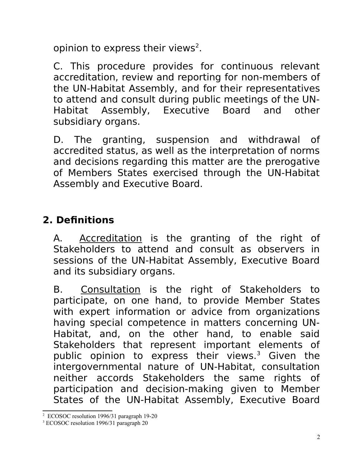opinion to express their views<sup>[2](#page-1-0)</sup>.

C. This procedure provides for continuous relevant accreditation, review and reporting for non-members of the UN-Habitat Assembly, and for their representatives to attend and consult during public meetings of the UN-Habitat Assembly, Executive Board and other subsidiary organs.

D. The granting, suspension and withdrawal of accredited status, as well as the interpretation of norms and decisions regarding this matter are the prerogative of Members States exercised through the UN-Habitat Assembly and Executive Board.

## **2. Definitions**

A. Accreditation is the granting of the right of Stakeholders to attend and consult as observers in sessions of the UN-Habitat Assembly, Executive Board and its subsidiary organs.

B. Consultation is the right of Stakeholders to participate, on one hand, to provide Member States with expert information or advice from organizations having special competence in matters concerning UN-Habitat, and, on the other hand, to enable said Stakeholders that represent important elements of public opinion to express their views.<sup>[3](#page-1-1)</sup> Given the intergovernmental nature of UN-Habitat, consultation neither accords Stakeholders the same rights of participation and decision-making given to Member States of the UN-Habitat Assembly, Executive Board

<span id="page-1-0"></span><sup>2</sup> ECOSOC resolution 1996/31 paragraph 19-20

<span id="page-1-1"></span><sup>3</sup> ECOSOC resolution 1996/31 paragraph 20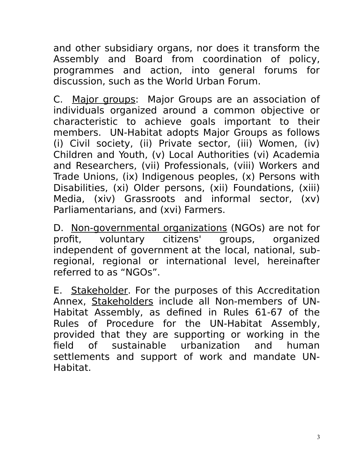and other subsidiary organs, nor does it transform the Assembly and Board from coordination of policy, programmes and action, into general forums for discussion, such as the World Urban Forum.

C. Major groups: Major Groups are an association of individuals organized around a common objective or characteristic to achieve goals important to their members. UN-Habitat adopts Major Groups as follows (i) Civil society, (ii) Private sector, (iii) Women, (iv) Children and Youth, (v) Local Authorities (vi) Academia and Researchers, (vii) Professionals, (viii) Workers and Trade Unions, (ix) Indigenous peoples, (x) Persons with Disabilities, (xi) Older persons, (xii) Foundations, (xiii) Media, (xiv) Grassroots and informal sector, (xv) Parliamentarians, and (xvi) Farmers.

D. Non-governmental organizations (NGOs) are not for profit, voluntary citizens' groups, organized independent of government at the local, national, subregional, regional or international level, hereinafter referred to as "NGOs".

E. Stakeholder. For the purposes of this Accreditation Annex, Stakeholders include all Non-members of UN-Habitat Assembly, as defined in Rules 61-67 of the Rules of Procedure for the UN-Habitat Assembly, provided that they are supporting or working in the field of sustainable urbanization and human settlements and support of work and mandate UN-Habitat.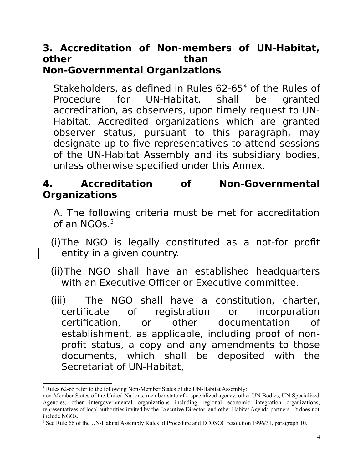#### **3. Accreditation of Non-members of UN-Habitat, other** than than the set of the set of the set of the set of the set of the set of the set of the set of the set of the set of the set of the set of the set of the set of the set of the set of the set of the set of the se **Non-Governmental Organizations**

Stakeholders, as defined in Rules 62-65<sup>[4](#page-3-0)</sup> of the Rules of Procedure for UN-Habitat, shall be granted accreditation, as observers, upon timely request to UN-Habitat. Accredited organizations which are granted observer status, pursuant to this paragraph, may designate up to five representatives to attend sessions of the UN-Habitat Assembly and its subsidiary bodies, unless otherwise specified under this Annex.

### **4. Accreditation of Non-Governmental Organizations**

- A. The following criteria must be met for accreditation of an  $NGOs.<sup>5</sup>$  $NGOs.<sup>5</sup>$  $NGOs.<sup>5</sup>$
- (i)The NGO is legally constituted as a not-for profit entity in a given country.
- (ii)The NGO shall have an established headquarters with an Executive Officer or Executive committee.
- (iii) The NGO shall have a constitution, charter, certificate of registration or incorporation certification, or other documentation of establishment, as applicable, including proof of nonprofit status, a copy and any amendments to those documents, which shall be deposited with the Secretariat of UN-Habitat,

<span id="page-3-0"></span><sup>4</sup> Rules 62-65 refer to the following Non-Member States of the UN-Habitat Assembly:

non-Member States of the United Nations, member state of a specialized agency, other UN Bodies, UN Specialized Agencies, other intergovernmental organizations including regional economic integration organizations, representatives of local authorities invited by the Executive Director, and other Habitat Agenda partners. It does not include NGOs.

<span id="page-3-1"></span><sup>&</sup>lt;sup>5</sup> See Rule 66 of the UN-Habitat Assembly Rules of Procedure and ECOSOC resolution 1996/31, paragraph 10.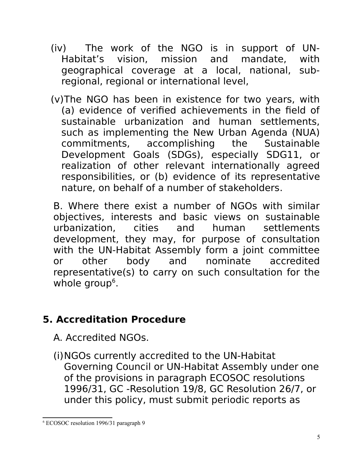- (iv) The work of the NGO is in support of UN-Habitat's vision, mission and mandate, with geographical coverage at a local, national, subregional, regional or international level,
- (v)The NGO has been in existence for two years, with (a) evidence of verified achievements in the field of sustainable urbanization and human settlements, such as implementing the New Urban Agenda (NUA) commitments, accomplishing the Sustainable Development Goals (SDGs), especially SDG11, or realization of other relevant internationally agreed responsibilities, or (b) evidence of its representative nature, on behalf of a number of stakeholders.

B. Where there exist a number of NGOs with similar objectives, interests and basic views on sustainable urbanization, cities and human settlements development, they may, for purpose of consultation with the UN-Habitat Assembly form a joint committee or other body and nominate accredited representative(s) to carry on such consultation for the whole group<sup>[6](#page-4-0)</sup>.

# **5. Accreditation Procedure**

A. Accredited NGOs.

(i)NGOs currently accredited to the UN-Habitat Governing Council or UN-Habitat Assembly under one of the provisions in paragraph ECOSOC resolutions 1996/31, GC -Resolution 19/8, GC Resolution 26/7, or under this policy, must submit periodic reports as

<span id="page-4-0"></span><sup>6</sup> ECOSOC resolution 1996/31 paragraph 9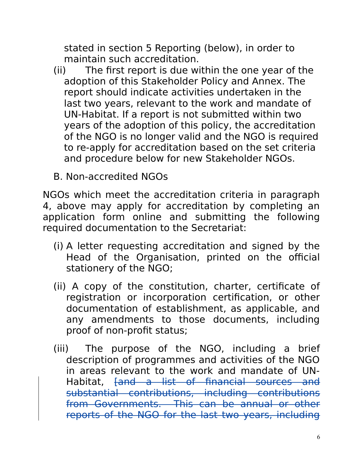stated in section 5 Reporting (below), in order to maintain such accreditation.

- (ii) The first report is due within the one year of the adoption of this Stakeholder Policy and Annex. The report should indicate activities undertaken in the last two years, relevant to the work and mandate of UN-Habitat. If a report is not submitted within two years of the adoption of this policy, the accreditation of the NGO is no longer valid and the NGO is required to re-apply for accreditation based on the set criteria and procedure below for new Stakeholder NGOs.
- B. Non-accredited NGOs

NGOs which meet the accreditation criteria in paragraph 4, above may apply for accreditation by completing an application form online and submitting the following required documentation to the Secretariat:

- (i) A letter requesting accreditation and signed by the Head of the Organisation, printed on the official stationery of the NGO;
- (ii) A copy of the constitution, charter, certificate of registration or incorporation certification, or other documentation of establishment, as applicable, and any amendments to those documents, including proof of non-profit status;
- (iii) The purpose of the NGO, including a brief description of programmes and activities of the NGO in areas relevant to the work and mandate of UN-Habitat, [and a list of financial sources and substantial contributions, including contributions from Governments. This can be annual or other reports of the NGO for the last two years, including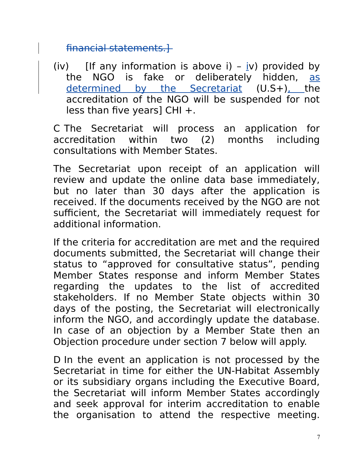financial statements.]

(iv) [If any information is above i) –  $iv$ ) provided by the NGO is fake or deliberately hidden, as determined by the Secretariat (U.S+), the accreditation of the NGO will be suspended for not less than five years] CHI +.

C The Secretariat will process an application for accreditation within two (2) months including consultations with Member States.

The Secretariat upon receipt of an application will review and update the online data base immediately, but no later than 30 days after the application is received. If the documents received by the NGO are not sufficient, the Secretariat will immediately request for additional information.

If the criteria for accreditation are met and the required documents submitted, the Secretariat will change their status to "approved for consultative status", pending Member States response and inform Member States regarding the updates to the list of accredited stakeholders. If no Member State objects within 30 days of the posting, the Secretariat will electronically inform the NGO, and accordingly update the database. In case of an objection by a Member State then an Objection procedure under section 7 below will apply.

D In the event an application is not processed by the Secretariat in time for either the UN-Habitat Assembly or its subsidiary organs including the Executive Board, the Secretariat will inform Member States accordingly and seek approval for interim accreditation to enable the organisation to attend the respective meeting.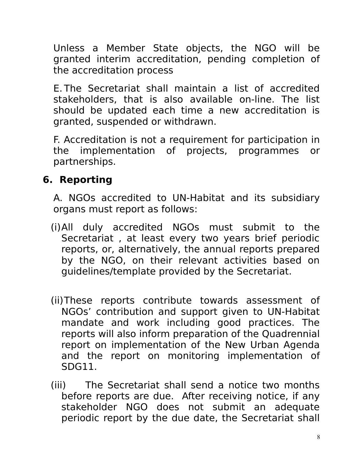Unless a Member State objects, the NGO will be granted interim accreditation, pending completion of the accreditation process

E. The Secretariat shall maintain a list of accredited stakeholders, that is also available on-line. The list should be updated each time a new accreditation is granted, suspended or withdrawn.

F. Accreditation is not a requirement for participation in the implementation of projects, programmes or partnerships.

### **6. Reporting**

A. NGOs accredited to UN-Habitat and its subsidiary organs must report as follows:

- (i)All duly accredited NGOs must submit to the Secretariat , at least every two years brief periodic reports, or, alternatively, the annual reports prepared by the NGO, on their relevant activities based on guidelines/template provided by the Secretariat.
- (ii)These reports contribute towards assessment of NGOs' contribution and support given to UN-Habitat mandate and work including good practices. The reports will also inform preparation of the Quadrennial report on implementation of the New Urban Agenda and the report on monitoring implementation of SDG11.
- (iii) The Secretariat shall send a notice two months before reports are due. After receiving notice, if any stakeholder NGO does not submit an adequate periodic report by the due date, the Secretariat shall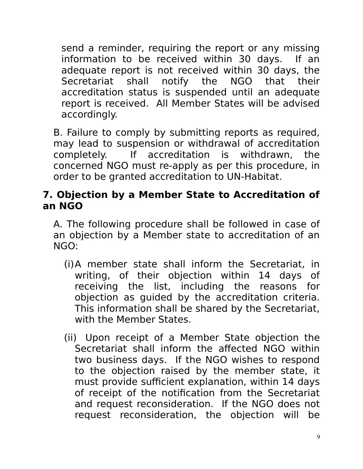send a reminder, requiring the report or any missing information to be received within 30 days. If an adequate report is not received within 30 days, the Secretariat shall notify the NGO that their accreditation status is suspended until an adequate report is received. All Member States will be advised accordingly.

B. Failure to comply by submitting reports as required, may lead to suspension or withdrawal of accreditation completely. If accreditation is withdrawn, the concerned NGO must re-apply as per this procedure, in order to be granted accreditation to UN-Habitat.

### **7. Objection by a Member State to Accreditation of an NGO**

A. The following procedure shall be followed in case of an objection by a Member state to accreditation of an NGO:

- (i)A member state shall inform the Secretariat, in writing, of their objection within 14 days of receiving the list, including the reasons for objection as guided by the accreditation criteria. This information shall be shared by the Secretariat, with the Member States.
- (ii) Upon receipt of a Member State objection the Secretariat shall inform the affected NGO within two business days. If the NGO wishes to respond to the objection raised by the member state, it must provide sufficient explanation, within 14 days of receipt of the notification from the Secretariat and request reconsideration. If the NGO does not request reconsideration, the objection will be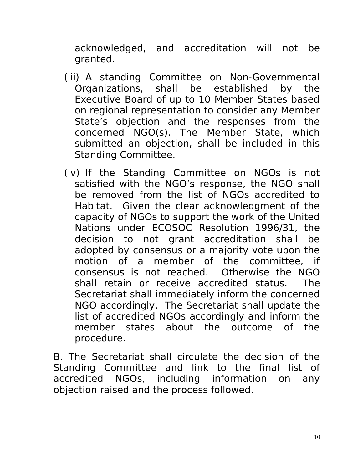acknowledged, and accreditation will not be granted.

- (iii) A standing Committee on Non-Governmental Organizations, shall be established by the Executive Board of up to 10 Member States based on regional representation to consider any Member State's objection and the responses from the concerned NGO(s). The Member State, which submitted an objection, shall be included in this Standing Committee.
- (iv) If the Standing Committee on NGOs is not satisfied with the NGO's response, the NGO shall be removed from the list of NGOs accredited to Habitat. Given the clear acknowledgment of the capacity of NGOs to support the work of the United Nations under ECOSOC Resolution 1996/31, the decision to not grant accreditation shall be adopted by consensus or a majority vote upon the motion of a member of the committee, if consensus is not reached. Otherwise the NGO shall retain or receive accredited status. The Secretariat shall immediately inform the concerned NGO accordingly. The Secretariat shall update the list of accredited NGOs accordingly and inform the member states about the outcome of the procedure.

B. The Secretariat shall circulate the decision of the Standing Committee and link to the final list of accredited NGOs, including information on any objection raised and the process followed.